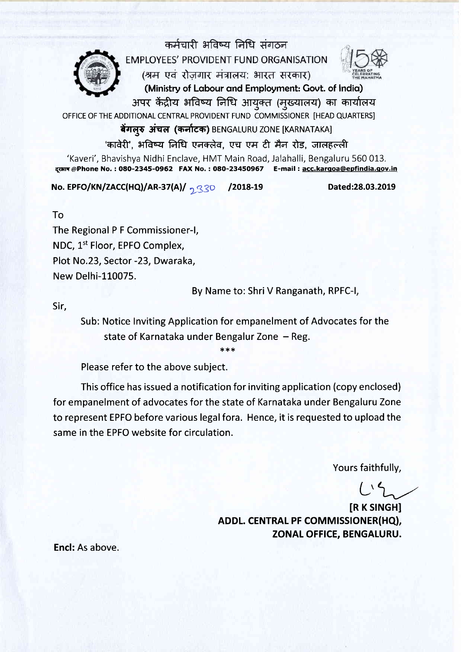

कर्मचारी भविष्य निधि संगठन EMPLOYEES' PROVIDENT FUND ORGANISATION (श्रम एवं रोजगार मंत्रालय: भारत सरकार)



(Ministry of Labour and Employment: Govt. of India) 3ापर केंद्रीय भविष्य निधि आयुक्त (मुख्यालय) का कार्यालय

OFFICE OF THE ADDITIONAL CENTRAL PROVIDENT FUND COMMISSIONER [HEAD QUARTERS]

बेंगलरु अंचल (कर्नाटक) BENGALURU ZONE [KARNATAKA]

'कावेरी', भविष्य निधि एनक्लेव, एच एम टी मैन रोड, जालहल्ली 'Kaveri', Bhavishya Nidhi Enclave, HMT Main Road, Jalahalli, Bengaluru 560 013. दरमान @Phone No.: 080-2345-0962 FAX No.: 080-23450967 E-mail: acc.kargoa@epfindia.gov.in

No. EPFO/KN/ZACC(HQ)/AR-37(A)/  $\frac{330}{1330}$  /2018-19

Dated:28.03.2019

To

The Regional P F Commissioner-|, NDC, L't Floor, EPFO Complex, Plot No.23, Sector -23, Dwaraka, New Delhi-110075.

By Name to: Shri V Ranganath, RPFC-I,

Sir,

Sub: Notice Inviting Application for empanelment of Advocates for the state of Karnataka under Bengalur Zone - Reg.

:h\*\*

Please refer to the above subject.

This office has issued a notification for inviting application (copy enclosed) for empanelment of advocates for the state of Karnataka under Bengaluru Zone to represent EPFO before various legal fora. Hence, it is requested to upload the same in the EPFO website for circulation.

Yours faithfully,

**IR K SINGHI** ADDL. CENTRAL PF COMMISSIONER(HQ), ZONAL OFFICE, BENGALURU.

Encl: As above.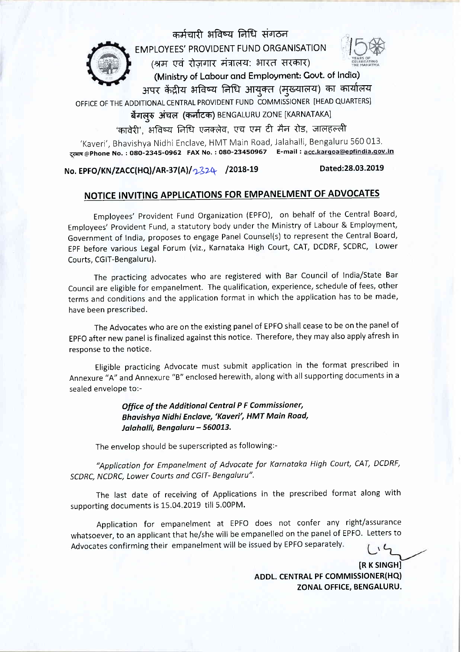

EMPLOYEES' PROVIDENT FUND ORGANISATION

कर्मचारी भविष्य निधि संगठन

 $\frac{1}{2}$ 

 $($ श्रम एवं रोजगार मंत्रालय: भारत सरकार) (Ministry of Lobour ond Employment: Govt. of lndio)

अपर केंद्रीय भविष्य निधि आयुक्त (मुख्यालय) का कार्यालय OFFICE OF THE ADDITIONAL CENTRAL PROVIDENT FUND COMMISSIONER [HEAD QUARTERS]

# बेंगलूरु अंचल (कर्नाटक) BENGALURU ZONE [KARNATAKA]

कावेरी', भविष्य निधि एनक्लेव, एच एम टी मैन रोड, जालहल्ली

'Kaveri', Bhavishya Nidhi Enclave, HMT Main Road, Jalahalli, Bengaluru 560 013 दरभाष @Phone No. : 080-2345-0962 FAX No. : 080-23450967 E-mail : acc.kargoa@epfindia.gov.in

No. EPFO/KN/ZACC(HQ)/AR-37(A)/2324 /2018-19 Dated:28.03.2019

# NOTICE INVITING APPLICATIONS FOR EMPANELMENT OF ADVOCATES

Employees' Provident Fund Organization (EPFO), on behalf of the Central Board, Employees'Provident Fund, a statutory body under the Ministry of Labour & Employment, Government of India, proposes to engage Panel Counsel(s) to represent the Central Board, EPF before various Legal Forum (viz., Karnataka High Court, CAT, DCDRF, SCDRC, Lower Courts, CGIT-Bengaluru).

The practicing advocates who are registered with Bar Council of India/State Bar Council are eligible for empanelment. The qualification, experience, schedule of fees, other terms and conditions and the application format in which the application has to be made, have been prescribed.

The Advocates who are on the existing panel of EPFO shall cease to be on the panel of EpFO after new panel is finalized against this notice. Therefore, they may also apply afresh in response to the notice.

Eligible practicing Advocate must submit application in the format prescribed in Annexure "A" and Annexure "B" enclosed herewith, along with allsupporting documents in <sup>a</sup> sealed envelope to:-

### Office of the Additional Centrdl P F Commissioner, Bhavishyo Nidhi Enclove,'Koveri', HMT Moin Road, Jalahalli, Bengaluru - 560013.

The envelop should be superscripted as following:-

"Applicotion for Emponelment of Advocote for Karnataka High Court, CAT, DCDRF, SCDRC, NCDRC, Lower Courts ond CGIT- Bengoluru".

The last date of receiving of Applications in the prescribed format along with supporting documents is 15.04.2019 till 5.00PM.

Application for empanelment at EPFO does not confer any right/assurance whatsoever, to an applicant that he/she will be empanelled on the panel of EPFO. Letters to Advocates confirming their empanelment will be issued by EPFO separately.  $\sqrt{6}$ 

> **IR K SINGHI** ADDL. CENTRAL PF COMMISSIONER(HQ) ZONAL OFFICE, BENGALURU.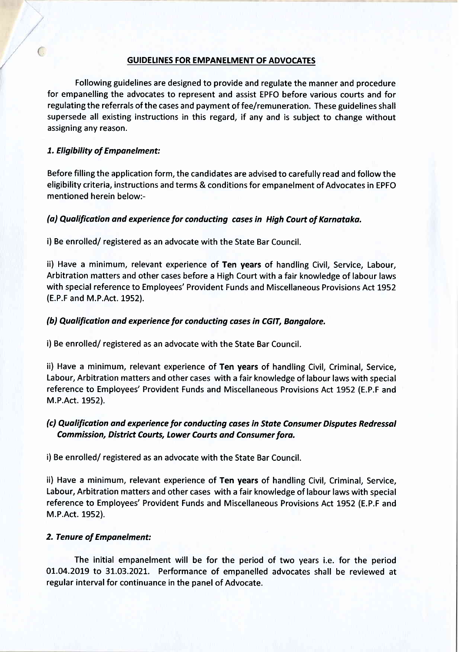#### GUIDELINES FOR EMPANELMENT OF ADVOCATES

Following guidelines are designed to provide and regulate the manner and procedure for empanelling the advocates to represent and assist EPFO before various courts and for regulating the referrals of the cases and payment of fee/remuneration. These guidelines shall supersede all existing instructions in this regard, if any and is subject to change without assigning any reason.

### 1. Eligibility of Empanelment:

 $\overline{(\cdot)}$ 

Before filling the application form, the candidates are advised to carefully read and follow the eligibility criteria, instructions and terms & conditions for empanelment of Advocates in EPFO mentioned herein below:-

### (a) Qualification and experience for conducting cases in High Court of Karnataka.

i) Be enrolled/ registered as an advocate with the State Bar Council.

ii) Have a minimum, relevant experience of Ten years of handling Civil, Service, Labour, Arbitration matters and other cases before a High Court with a fair knowledge of labour laws with special reference to Employees' Provident Funds and Miscellaneous Provisions Act 1952 (E.P.F and M.P.Act. 1952).

### (b) Qualification and experience for conducting cases in CGIT, Bangalore.

i) Be enrolled/ registered as an advocate with the State Bar Council.

ii) Have a minimum, relevant experience of Ten years of handling Civil, Criminal, Service, Labour, Arbitration matters and other cases with a fair knowledge of labour laws with special reference to Employees' Provident Funds and Miscellaneous Provisions Act 1952 (E.P.F and M.P.Act. 1952).

### (c) Qualificotion and experience for conducting coses in Stote Consumer Disputes Redressol Commission, District Courts, Lower Courts and Consumer fora.

i) Be enrolled/ registered as an advocate with the State Bar Council.

ii) Have a minimum, relevant experience of Ten years of handling Civil, Criminal, Service, Labour, Arbitration matters and other cases with a fair knowledge of labour laws with special reference to Employees' Provident Funds and Miscellaneous Provisions Act 1952 (E.P.F and M.P.Act. 1952).

#### 2. Tenure of Empanelment:

The initial empanelment will be for the period of two years i.e. for the period 0L.O4.2OL9 to 31.03.2021. Performance of empanelled advocates shall be reviewed at regular interval for continuance in the panel of Advocate.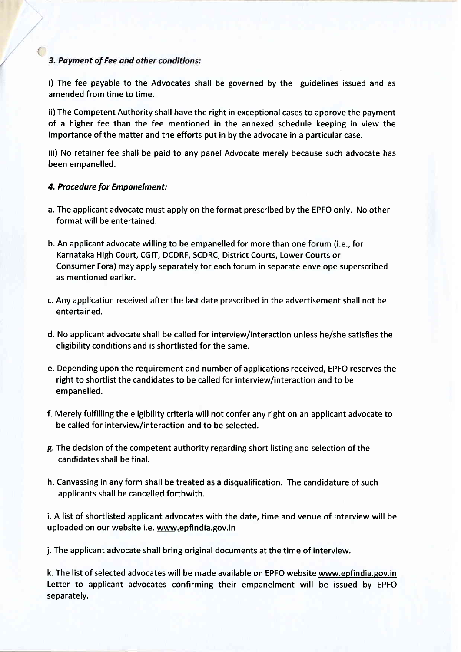### 3. Payment of Fee and other conditions:

i) The fee payable to the Advocates shall be governed by the guidelines issued and as amended from time to time.

ii) The Competent Authority shall have the right in exceptional cases to approve the payment of a higher fee than the fee mentioned in the annexed schedule keeping in view the importance of the matter and the efforts put in by the advocate in a particular case.

iii) No retainer fee shall be paid to any panel Advocate merely because such advocate has been empanelled.

#### 4. Procedure for Emponelment:

- a. The applicant advocate must apply on the format prescribed by the EPFO only. No other format will be entertained.
- b. An applicant advocate willing to be empanelled for more than one forum (i.e., for Karnataka High Court, CGIT, DCDRF, SCDRC, District Courts, Lower Courts or Consumer Fora) may apply separately for each forum in separate envelope superscribed as mentioned earlier.
- c. Any application received after the last date prescribed in the advertisement shall not be entertained.
- d. No applicant advocate shall be called for interview/interaction unless he/she satisfies the eligibility conditions and is shortlisted for the same.
- e. Depending upon the requirement and number of applications received, EPFO reserves the right to shortlist the candidates to be called for interview/interaction and to be empanelled.
- f. Merely fulfilling the eligibility criteria will not confer any right on an applicant advocate to be called for interview/interaction and to be selected.
- g. The decision of the competent authority regarding short listing and selection of the candidates shall be final.
- h. Canvassing in any form shall be treated as a disqualification. The candidature of such applicants shall be cancelled forthwith.

i. A list of shortlisted applicant advocates with the date, time and venue of lnterview will be uploaded on our website i.e. www.epfindia.gov.in

j. The applicant advocate shall bring original documents at the time of interview.

k. The list of selected advocates will be made available on EPFO website www.epfindia.gov.in Letter to applicant advocates confirming their empanelment will be issued by EPFO separately.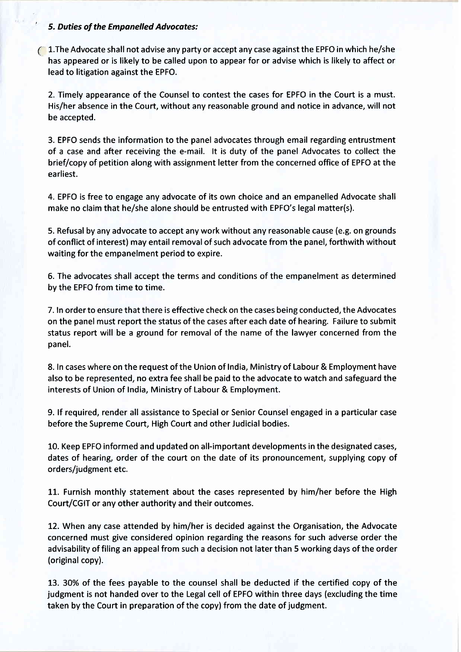#### ' 5. Duties of the Empanelled Advocates:

 $\bigcirc$  1. The Advocate shall not advise any party or accept any case against the EPFO in which he/she has appeared or is likely to be called upon to appear for or advise which is likely to affect or lead to litigation against the EPFO.

2. Timely appearance of the Counsel to contest the cases for EPFO in the Court is a must. His/her absence in the Court, without any reasonable ground and notice in advance, will not be accepted.

3. EPFO sends the information to the panel advocates through email regarding entrustment of a case and after receiving the e-mail. lt is duty of the panel Advocates to collect the brief/copy of petition along with assignment letter from the concerned office of EPFO at the earliest.

4. EPFO is free to engage any advocate of its own choice and an empanelled Advocate shall make no claim that he/she alone should be entrusted with EPFO's legal matter(s).

5. Refusal by any advocate to accept any work without any reasonable cause (e.g. on grounds of conflict of interest) may entail removal of such advocate from the panel, forthwith without waiting for the empanelment period to expire.

6. The advocates shall accept the terms and conditions of the empanelment as determined by the EPFO from time to time.

7. In order to ensure that there is effective check on the cases being conducted, the Advocates on the panel must report the status of the cases after each date of hearing. Failure to submit status report will be a ground for removal of the name of the lawyer concerned from the panel.

8. In cases where on the request of the Union of India, Ministry of Labour & Employment have also to be represented, no extra fee shall be paid to the advocate to watch and safeguard the interests of Union of India, Ministry of Labour & Employment.

9. lf required, render all assistance to Special or Senior Counsel engaged in a particular case before the Supreme Court, High Court and other Judicial bodies.

10. Keep EPFO informed and updated on all-important developments in the designated cases, dates of hearing, order of the court on the date of its pronouncement, supplying copy of orders/judgment etc.

11. Furnish monthly statement about the cases represented by him/her before the High Court/CGIT or any other authority and their outcomes.

12. When any case attended by him/her is decided against the Organisation, the Advocate concerned must give considered opinion regarding the reasons for such adverse order the advisability of filing an appeal from such a decision not later than 5 working days of the order (original copy).

L3. 30% of the fees payable to the counsel shall be deducted if the certified copy of the judgment is not handed over to the Legal cell of EPFO within three days (excluding the time taken by the Court in preparation of the copy) from the date of judgment.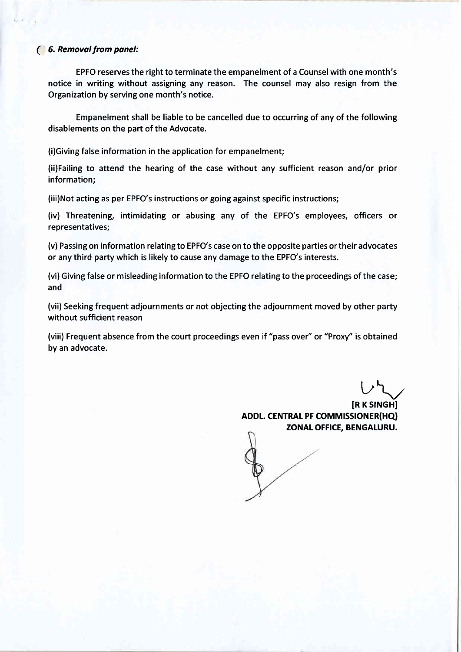### (' 6. Removol from ponel:

EPFO reserves the right to terminate the empanelment of a Counsel with one month's notice in writing without assigning any reason. The counsel may also resign from the Organization by serving one month's notice.

Empanelment shall be liable to be cancelled due to occurring of any of the following disablements on the part of the Advocate.

(i)Giving false information in the application for empanelment;

(ii)Failing to attend the hearing of the case without any sufficient reason and/or prior information;

(iii)Not acting as per EPFO's instructions or going against specific instructions;

(iv) Threatening, intimidating or abusing any of the EPFO's employees, officers or representatives;

(v) Passing on information relating to EPFO's case on to the opposite parties or their advocates or any third party which is likely to cause any damage to the EPFO's interests.

(vi) Giving false or misleading information to the EPFO relating to the proceedings of the case; and

(vii) Seeking frequent adjournments or not objecting the adjournment moved by other party without sufficient reason

(viii) Frequent absence from the court proceedings even if "pass over" or "Proxy" is obtained by an advocate.

 $L^{2}$ **IR K SINGHI** ADDL. CENTRAL PF COMMISSIONER(HQ) ZONAL OFFICE, BENGALURU.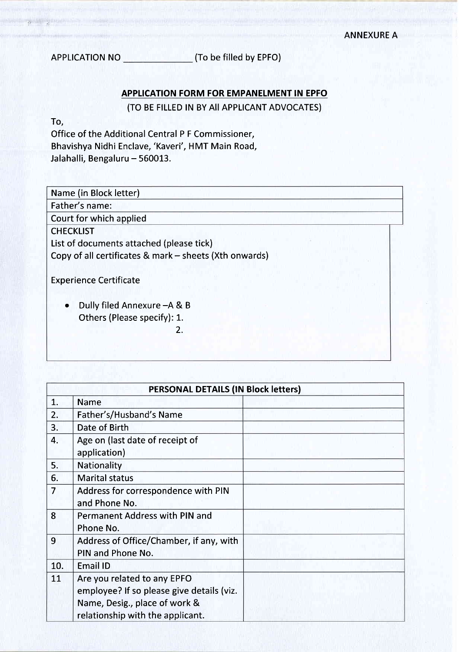APPLICATION NO **(TO be filled by EPFO)** 

# APPLICATION FORM FOR EMPANELMENT IN EPFO

(TO BE FILLED IN BY All APPLICANT ADVOCATES)

To,

 $\sigma$   $\chi$ 

Office of the Additional Central P F Commissioner, Bhavishya Nidhi Enclave, 'Kaveri', HMT Main Road, Jalahalli, Bengaluru - 560013.

| Name (in Block letter)                                 |
|--------------------------------------------------------|
| Father's name:                                         |
| Court for which applied                                |
| <b>CHECKLIST</b>                                       |
| List of documents attached (please tick)               |
| Copy of all certificates & mark - sheets (Xth onwards) |
|                                                        |
| <b>Experience Certificate</b>                          |
|                                                        |
| Dully filed Annexure - A & B                           |
| Others (Please specify): 1.                            |
| 2.                                                     |
|                                                        |
|                                                        |

|                | <b>PERSONAL DETAILS (IN Block letters)</b>                                                                                                    |  |  |
|----------------|-----------------------------------------------------------------------------------------------------------------------------------------------|--|--|
| 1.             | <b>Name</b>                                                                                                                                   |  |  |
| 2.             | Father's/Husband's Name                                                                                                                       |  |  |
| 3.             | Date of Birth                                                                                                                                 |  |  |
| 4.             | Age on (last date of receipt of<br>application)                                                                                               |  |  |
| 5.             | Nationality                                                                                                                                   |  |  |
| 6.             | <b>Marital status</b>                                                                                                                         |  |  |
| $\overline{7}$ | Address for correspondence with PIN<br>and Phone No.                                                                                          |  |  |
| 8              | Permanent Address with PIN and<br>Phone No.                                                                                                   |  |  |
| 9              | Address of Office/Chamber, if any, with<br>PIN and Phone No.                                                                                  |  |  |
| 10.            | Email ID                                                                                                                                      |  |  |
| 11             | Are you related to any EPFO<br>employee? If so please give details (viz.<br>Name, Desig., place of work &<br>relationship with the applicant. |  |  |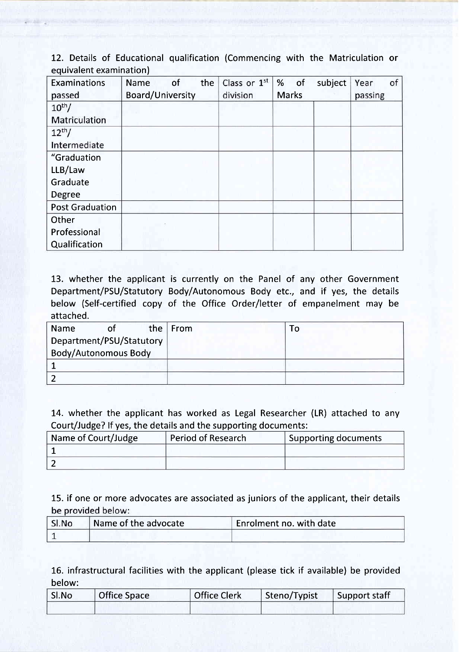12. Details of Educational qualification (Commencing with the Matriculation or equivalent examination)

| <b>Examinations</b>    | of<br>the<br><b>Name</b> | Class or 1st | subject<br>%<br>of | of<br>Year |
|------------------------|--------------------------|--------------|--------------------|------------|
| passed                 | <b>Board/University</b>  | division     | <b>Marks</b>       | passing    |
| $10^{th}$ /            |                          |              |                    |            |
| Matriculation          |                          |              |                    |            |
| $12th$ /               |                          |              |                    |            |
| Intermediate           |                          |              |                    |            |
| "Graduation            |                          |              |                    |            |
| LLB/Law                |                          |              |                    |            |
| Graduate               |                          |              |                    |            |
| Degree                 |                          |              |                    |            |
| <b>Post Graduation</b> |                          |              |                    |            |
| Other                  |                          |              |                    |            |
| Professional           |                          |              |                    |            |
| Qualification          |                          |              |                    |            |

13. whether the applicant is currently on the Panel of any other Government Department/PSU/Statutory Body/Autonomous Body etc., and if yes, the details below (Self-certified copy of the Office Order/letter of empanelment may be attached.

| Name                        | the $ $ From | ้ 0 |
|-----------------------------|--------------|-----|
| Department/PSU/Statutory    |              |     |
| <b>Body/Autonomous Body</b> |              |     |
|                             |              |     |
|                             |              |     |

14. whether the applicant has worked as Legal Researcher (LR) attached to any Court/Judge? lf yes, the details and the supporting documents:

| Name of Court/Judge | <b>Period of Research</b> | Supporting documents |
|---------------------|---------------------------|----------------------|
|                     |                           |                      |
|                     |                           |                      |

15. if one or more advocates are associated as juniors of the applicant, their details be provided below:

| SI.No | Name of the advocate | Enrolment no. with date |
|-------|----------------------|-------------------------|
|       |                      |                         |

16. infrastructural facilities with the applicant (please tick if available) be provided below:

| SI.No | <b>Office Space</b> | <b>Office Clerk</b> | Steno/Typist | Support staff |
|-------|---------------------|---------------------|--------------|---------------|
|       |                     |                     |              |               |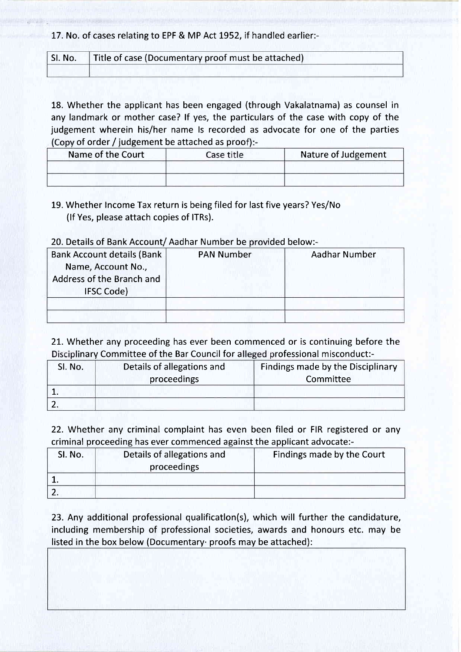17. No. of cases relating to EPF & MP Act 1952, if handled earlier:-

| SI. No.   Title of case (Documentary proof must be attached) |  |
|--------------------------------------------------------------|--|
|                                                              |  |

18. Whether the applicant has been engaged (through Vakalatnama) as counsel in any landmark or mother case? lf yes, the particulars of the case with copy of the judgement wherein his/her name ls recorded as advocate for one of the parties  $(Conv of order / iudeement be attached as proof):$ 

| Name of the Court | Case title | Nature of Judgement |
|-------------------|------------|---------------------|
|                   |            |                     |
|                   |            |                     |

19. Whether lncome Tax return is being filed for last five years? Yes/No (lf Yes, please attach copies of lTRs).

# 20. Details of Bank Account/ Aadhar Number be provided below:-

| <b>Bank Account details (Bank)</b><br>Name, Account No.,<br>Address of the Branch and<br><b>IFSC Code)</b> | <b>PAN Number</b> | Aadhar Number |
|------------------------------------------------------------------------------------------------------------|-------------------|---------------|
|                                                                                                            |                   |               |

21. Whether any proceeding has ever been commenced or is continuing before the Disciplinary Committee of the Bar Council for alleged professional misconduct:-

| SI. No. | Details of allegations and | Findings made by the Disciplinary |
|---------|----------------------------|-----------------------------------|
|         | proceedings                | Committee                         |
|         |                            |                                   |
|         |                            |                                   |

22. Whether any criminal complaint has even been filed or FIR registered or any criminal proceeding has ever commenced against the applicant advocate:-

| SI. No. | Details of allegations and<br>proceedings | Findings made by the Court |
|---------|-------------------------------------------|----------------------------|
|         |                                           |                            |
|         |                                           |                            |

23. Any additional professional qualificatlon(s), which will further the candidature, including membership of professional societies, awards and honours etc. may be listed in the box below (Documentary. proofs may be attached):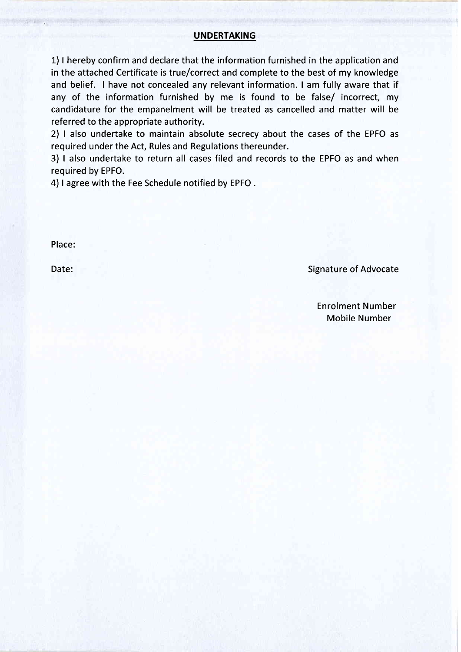#### UNDERTAKING

1) I hereby confirm and declare that the information furnished in the application and in the attached Certificate is true/correct and complete to the best of my knowledge and belief. I have not concealed any relevant information. I am fully aware that if any of the information furnished by me is found to be false/ incorrect, my candidature for the empanelment will be treated as cancelled and matter will be referred to the appropriate authority.

2) | also undertake to maintain absolute secrecy about the cases of the EPFO as required under the Act, Rules and Regulations thereunder.

3) | also undertake to return all cases filed and records to the EPFO as and when required by EPFO.

4) I agree with the Fee Schedule notified by EPFO.

Place:

Date: Signature of Advocate

Enrolment Number Mobile Number